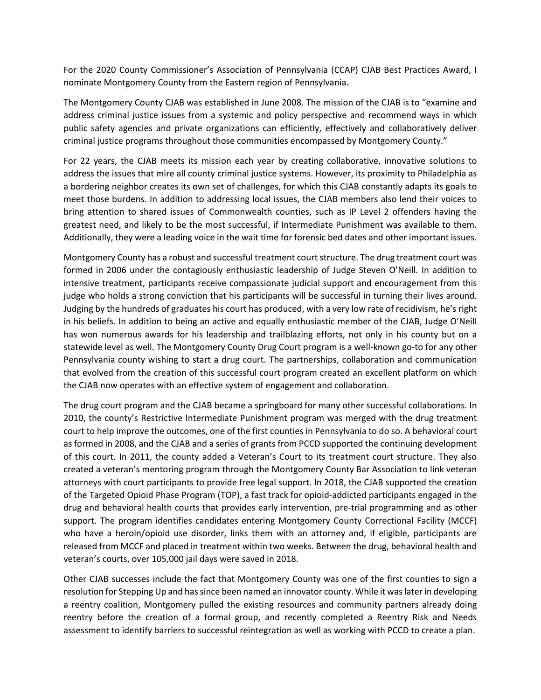For the 2020 County Commissioner's Association of Pennsylvania (CCAP) CJAB Best Practices Award, I nominate Montgomery County from the Eastern region of Pennsylvania.

The Montgomery County CJAB was established in June 2008. The mission of the CJAB is to "examine and address criminal justice issues from a systemic and policy perspective and recommend ways in which public safety agencies and private organizations can efficiently, effectively and collaboratively deliver criminal justice programs throughout those communities encompassed by Montgomery County."

For 22 years, the CJAB meets its mission each year by creating collaborative, innovative solutions to address the issues that mire all county criminal justice systems. However, its proximity to Philadelphia as a bordering neighbor creates its own set of challenges, for which this CJAB constantly adapts its goals to meet those burdens. In addition to addressing local issues, the CJAB members also lend their voices to bring attention to shared issues of Commonwealth counties, such as IP Level 2 offenders having the greatest need, and likely to be the most successful, if Intermediate Punishment was available to them. Additionally, they were a leading voice in the wait time for forensic bed dates and other important issues.

Montgomery County has a robust and successful treatment court structure. The drug treatment court was formed in 2006 under the contagiously enthusiastic leadership of Judge Steven O'Neill. In addition to intensive treatment, participants receive compassionate judicial support and encouragement from this judge who holds a strong conviction that his participants will be successful in turning their lives around. Judging by the hundreds of graduates his court has produced, with a very low rate of recidivism, he's right in his beliefs. In addition to being an active and equally enthusiastic member of the CJAB, Judge O'Neill has won numerous awards for his leadership and trailblazing efforts, not only in his county but on a statewide level as well. The Montgomery County Drug Court program is a well-known go-to for any other Pennsylvania county wishing to start a drug court. The partnerships, collaboration and communication that evolved from the creation of this successful court program created an excellent platform on which the CJAB now operates with an effective system of engagement and collaboration.

The drug court program and the CJAB became a springboard for many other successful collaborations. In 2010, the county's Restrictive Intermediate Punishment program was merged with the drug treatment court to help improve the outcomes, one of the first counties in Pennsylvania to do so. A behavioral court as formed in 2008, and the CJAB and a series of grants from PCCD supported the continuing development of this court. In 2011, the county added a Veteran's Court to its treatment court structure. They also created a veteran's mentoring program through the Montgomery County Bar Association to link veteran attorneys with court participants to provide free legal support. In 2018, the CJAB supported the creation of the Targeted Opioid Phase Program (TOP), a fast track for opioid-addicted participants engaged in the drug and behavioral health courts that provides early intervention, pre-trial programming and as other support. The program identifies candidates entering Montgomery County Correctional Facility (MCCF) who have a heroin/opioid use disorder, links them with an attorney and, if eligible, participants are released from MCCF and placed in treatment within two weeks. Between the drug, behavioral health and veteran's courts, over 105,000 jail days were saved in 2018.

Other CJAB successes include the fact that Montgomery County was one of the first counties to sign a resolution for Stepping Up and has since been named an innovator county. While it was later in developing a reentry coalition, Montgomery pulled the existing resources and community partners already doing reentry before the creation of a formal group, and recently completed a Reentry Risk and Needs assessment to identify barriers to successful reintegration as well as working with PCCD to create a plan.